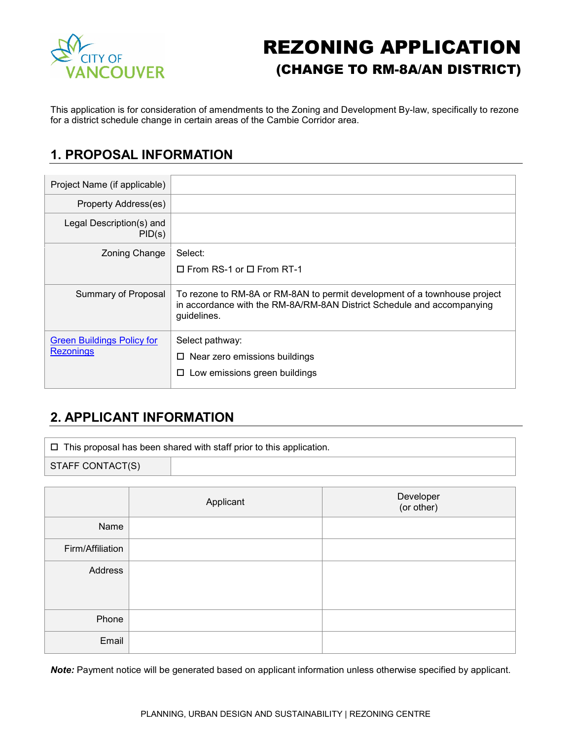

# REZONING APPLICATION (CHANGE TO RM-8A/AN DISTRICT)

This application is for consideration of amendments to the Zoning and Development By-law, specifically to rezone for a district schedule change in certain areas of the Cambie Corridor area.

# **1. PROPOSAL INFORMATION**

| Project Name (if applicable)       |                                                                                                                                                                    |  |
|------------------------------------|--------------------------------------------------------------------------------------------------------------------------------------------------------------------|--|
| Property Address(es)               |                                                                                                                                                                    |  |
| Legal Description(s) and<br>PID(s) |                                                                                                                                                                    |  |
| <b>Zoning Change</b>               | Select:                                                                                                                                                            |  |
|                                    | $\Box$ From RS-1 or $\Box$ From RT-1                                                                                                                               |  |
| Summary of Proposal                | To rezone to RM-8A or RM-8AN to permit development of a townhouse project<br>in accordance with the RM-8A/RM-8AN District Schedule and accompanying<br>guidelines. |  |
| <b>Green Buildings Policy for</b>  | Select pathway:                                                                                                                                                    |  |
| <b>Rezonings</b>                   | $\Box$ Near zero emissions buildings                                                                                                                               |  |
|                                    | Low emissions green buildings<br>□                                                                                                                                 |  |

## **2. APPLICANT INFORMATION**

| $\Box$ This proposal has been shared with staff prior to this application. |  |  |
|----------------------------------------------------------------------------|--|--|
| STAFF CONTACT(S)                                                           |  |  |

|                  | Applicant | Developer<br>(or other) |
|------------------|-----------|-------------------------|
| Name             |           |                         |
| Firm/Affiliation |           |                         |
| Address          |           |                         |
| Phone            |           |                         |
| Email            |           |                         |

*Note:* Payment notice will be generated based on applicant information unless otherwise specified by applicant.